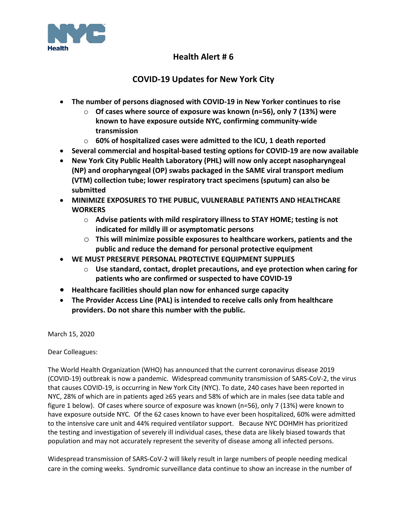

# **Health Alert # 6**

# **COVID-19 Updates for New York City**

- **The number of persons diagnosed with COVID-19 in New Yorker continues to rise**
	- o **Of cases where source of exposure was known (n=56), only 7 (13%) were known to have exposure outside NYC, confirming community-wide transmission**
	- o **60% of hospitalized cases were admitted to the ICU, 1 death reported**
- **Several commercial and hospital-based testing options for COVID-19 are now available**
- **New York City Public Health Laboratory (PHL) will now only accept nasopharyngeal (NP) and oropharyngeal (OP) swabs packaged in the SAME viral transport medium (VTM) collection tube; lower respiratory tract specimens (sputum) can also be submitted**
- **MINIMIZE EXPOSURES TO THE PUBLIC, VULNERABLE PATIENTS AND HEALTHCARE WORKERS** 
	- o **Advise patients with mild respiratory illness to STAY HOME; testing is not indicated for mildly ill or asymptomatic persons**
	- o **This will minimize possible exposures to healthcare workers, patients and the public and reduce the demand for personal protective equipment**
- **WE MUST PRESERVE PERSONAL PROTECTIVE EQUIPMENT SUPPLIES**
	- o **Use standard, contact, droplet precautions, and eye protection when caring for patients who are confirmed or suspected to have COVID-19**
- **Healthcare facilities should plan now for enhanced surge capacity**
- **The Provider Access Line (PAL) is intended to receive calls only from healthcare providers. Do not share this number with the public.**

March 15, 2020

Dear Colleagues:

The World Health Organization (WHO) has announced that the current coronavirus disease 2019 (COVID-19) outbreak is now a pandemic. Widespread community transmission of SARS-CoV-2, the virus that causes COVID-19, is occurring in New York City (NYC). To date, 240 cases have been reported in NYC, 28% of which are in patients aged ≥65 years and 58% of which are in males (see data table and figure 1 below). Of cases where source of exposure was known (n=56), only 7 (13%) were known to have exposure outside NYC. Of the 62 cases known to have ever been hospitalized, 60% were admitted to the intensive care unit and 44% required ventilator support. Because NYC DOHMH has prioritized the testing and investigation of severely ill individual cases, these data are likely biased towards that population and may not accurately represent the severity of disease among all infected persons.

Widespread transmission of SARS-CoV-2 will likely result in large numbers of people needing medical care in the coming weeks. Syndromic surveillance data continue to show an increase in the number of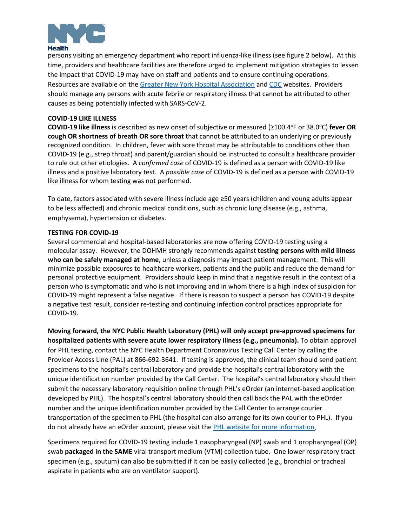

persons visiting an emergency department who report influenza-like illness (see figure 2 below). At this time, providers and healthcare facilities are therefore urged to implement mitigation strategies to lessen the impact that COVID-19 may have on staff and patients and to ensure continuing operations. Resources are available on th[e Greater New York Hospital Association](https://www.gnyha.org/) and [CDC](http://www.cdc.gov/) websites. Providers should manage any persons with acute febrile or respiratory illness that cannot be attributed to other causes as being potentially infected with SARS-CoV-2.

## **COVID-19 LIKE ILLNESS**

COVID-19 like illness is described as new onset of subjective or measured (≥100.4<sup>o</sup>F or 38.0<sup>o</sup>C) fever OR **cough OR shortness of breath OR sore throat** that cannot be attributed to an underlying or previously recognized condition. In children, fever with sore throat may be attributable to conditions other than COVID-19 (e.g., strep throat) and parent/guardian should be instructed to consult a healthcare provider to rule out other etiologies. A *confirmed case* of COVID-19 is defined as a person with COVID-19 like illness and a positive laboratory test. A *possible case* of COVID-19 is defined as a person with COVID-19 like illness for whom testing was not performed.

To date, factors associated with severe illness include age ≥50 years (children and young adults appear to be less affected) and chronic medical conditions, such as chronic lung disease (e.g., asthma, emphysema), hypertension or diabetes.

## **TESTING FOR COVID-19**

Several commercial and hospital-based laboratories are now offering COVID-19 testing using a molecular assay. However, the DOHMH strongly recommends against **testing persons with mild illness who can be safely managed at home**, unless a diagnosis may impact patient management. This will minimize possible exposures to healthcare workers, patients and the public and reduce the demand for personal protective equipment. Providers should keep in mind that a negative result in the context of a person who is symptomatic and who is not improving and in whom there is a high index of suspicion for COVID-19 might represent a false negative. If there is reason to suspect a person has COVID-19 despite a negative test result, consider re-testing and continuing infection control practices appropriate for COVID-19.

**Moving forward, the NYC Public Health Laboratory (PHL) will only accept pre-approved specimens for hospitalized patients with severe acute lower respiratory illness (e.g., pneumonia).** To obtain approval for PHL testing, contact the NYC Health Department Coronavirus Testing Call Center by calling the Provider Access Line (PAL) at 866-692-3641. If testing is approved, the clinical team should send patient specimens to the hospital's central laboratory and provide the hospital's central laboratory with the unique identification number provided by the Call Center. The hospital's central laboratory should then submit the necessary laboratory requisition online through PHL's eOrder (an internet-based application developed by PHL). The hospital's central laboratory should then call back the PAL with the eOrder number and the unique identification number provided by the Call Center to arrange courier transportation of the specimen to PHL (the hospital can also arrange for its own courier to PHL). If you do not already have an eOrder account, please visit the [PHL website for more information.](https://www1.nyc.gov/site/doh/providers/reporting-and-services/public-health-lab.page#forms)

Specimens required for COVID-19 testing include 1 nasopharyngeal (NP) swab and 1 oropharyngeal (OP) swab **packaged in the SAME** viral transport medium (VTM) collection tube. One lower respiratory tract specimen (e.g., sputum) can also be submitted if it can be easily collected (e.g., bronchial or tracheal aspirate in patients who are on ventilator support).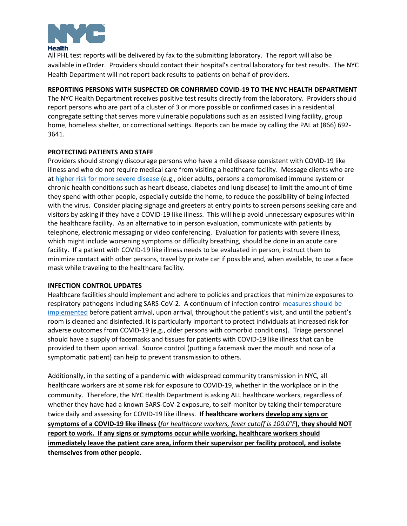

All PHL test reports will be delivered by fax to the submitting laboratory. The report will also be available in eOrder. Providers should contact their hospital's central laboratory for test results. The NYC Health Department will not report back results to patients on behalf of providers.

# **REPORTING PERSONS WITH SUSPECTED OR CONFIRMED COVID-19 TO THE NYC HEALTH DEPARTMENT**

The NYC Health Department receives positive test results directly from the laboratory. Providers should report persons who are part of a cluster of 3 or more possible or confirmed cases in a residential congregate setting that serves more vulnerable populations such as an assisted living facility, group home, homeless shelter, or correctional settings. Reports can be made by calling the PAL at (866) 692- 3641.

## **PROTECTING PATIENTS AND STAFF**

Providers should strongly discourage persons who have a mild disease consistent with COVID-19 like illness and who do not require medical care from visiting a healthcare facility. Message clients who are at [higher risk for more severe disease](https://www.cdc.gov/coronavirus/2019-ncov/specific-groups/high-risk-complications.html?CDC_AA_refVal=https%3A%2F%2Fwww.cdc.gov%2Fcoronavirus%2F2019-ncov%2Fhigh-risk%2Fhigh-risk-complications.html) (e.g., older adults, persons a compromised immune system or chronic health conditions such as heart disease, diabetes and lung disease) to limit the amount of time they spend with other people, especially outside the home, to reduce the possibility of being infected with the virus. Consider placing signage and greeters at entry points to screen persons seeking care and visitors by asking if they have a COVID-19 like illness. This will help avoid unnecessary exposures within the healthcare facility. As an alternative to in person evaluation, communicate with patients by telephone, electronic messaging or video conferencing. Evaluation for patients with severe illness, which might include worsening symptoms or difficulty breathing, should be done in an acute care facility. If a patient with COVID-19 like illness needs to be evaluated in person, instruct them to minimize contact with other persons, travel by private car if possible and, when available, to use a face mask while traveling to the healthcare facility.

## **INFECTION CONTROL UPDATES**

Healthcare facilities should implement and adhere to policies and practices that minimize exposures to respiratory pathogens including SARS-CoV-2. A continuum of infection control [measures should be](https://www.cdc.gov/coronavirus/2019-ncov/healthcare-facilities/index.html)  [implemented](https://www.cdc.gov/coronavirus/2019-ncov/healthcare-facilities/index.html) before patient arrival, upon arrival, throughout the patient's visit, and until the patient's room is cleaned and disinfected. It is particularly important to protect individuals at increased risk for adverse outcomes from COVID-19 (e.g., older persons with comorbid conditions). Triage personnel should have a supply of facemasks and tissues for patients with COVID-19 like illness that can be provided to them upon arrival. Source control (putting a facemask over the mouth and nose of a symptomatic patient) can help to prevent transmission to others.

Additionally, in the setting of a pandemic with widespread community transmission in NYC, all healthcare workers are at some risk for exposure to COVID-19, whether in the workplace or in the community. Therefore, the NYC Health Department is asking ALL healthcare workers, regardless of whether they have had a known SARS-CoV-2 exposure, to self-monitor by taking their temperature twice daily and assessing for COVID-19 like illness. **If healthcare workers develop any signs or symptoms of a COVID-19 like illness (***for healthcare workers, fever cutoff is 100.0°F*), they should NOT **report to work. If any signs or symptoms occur while working, healthcare workers should immediately leave the patient care area, inform their supervisor per facility protocol, and isolate themselves from other people.**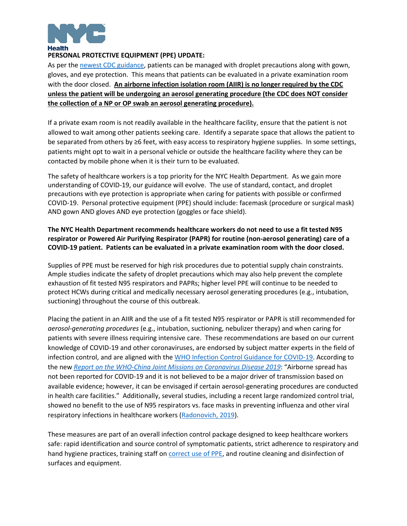

# **PERSONAL PROTECTIVE EQUIPMENT (PPE) UPDATE:**

As per the [newest CDC guidance,](https://www.cdc.gov/coronavirus/2019-ncov/infection-control/control-recommendations.html) patients can be managed with droplet precautions along with gown, gloves, and eye protection. This means that patients can be evaluated in a private examination room with the door closed. **An airborne infection isolation room (AIIR) is no longer required by the CDC unless the patient will be undergoing an aerosol generating procedure (the CDC does NOT consider the collection of a NP or OP swab an aerosol generating procedure).**

If a private exam room is not readily available in the healthcare facility, ensure that the patient is not allowed to wait among other patients seeking care. Identify a separate space that allows the patient to be separated from others by ≥6 feet, with easy access to respiratory hygiene supplies. In some settings, patients might opt to wait in a personal vehicle or outside the healthcare facility where they can be contacted by mobile phone when it is their turn to be evaluated.

The safety of healthcare workers is a top priority for the NYC Health Department. As we gain more understanding of COVID-19, our guidance will evolve. The use of standard, contact, and droplet precautions with eye protection is appropriate when caring for patients with possible or confirmed COVID-19. Personal protective equipment (PPE) should include: facemask (procedure or surgical mask) AND gown AND gloves AND eye protection (goggles or face shield).

# **The NYC Health Department recommends healthcare workers do not need to use a fit tested N95 respirator or Powered Air Purifying Respirator (PAPR) for routine (non-aerosol generating) care of a COVID-19 patient. Patients can be evaluated in a private examination room with the door closed.**

Supplies of PPE must be reserved for high risk procedures due to potential supply chain constraints. Ample studies indicate the safety of droplet precautions which may also help prevent the complete exhaustion of fit tested N95 respirators and PAPRs; higher level PPE will continue to be needed to protect HCWs during critical and medically necessary aerosol generating procedures (e.g., intubation, suctioning) throughout the course of this outbreak.

Placing the patient in an AIIR and the use of a fit tested N95 respirator or PAPR is still recommended for *aerosol-generating procedures* (e.g., intubation, suctioning, nebulizer therapy) and when caring for patients with severe illness requiring intensive care. These recommendations are based on our current knowledge of COVID-19 and other coronaviruses, are endorsed by subject matter experts in the field of infection control, and are aligned with th[e WHO Infection Control Guidance for COVID-19.](https://www.who.int/publications-detail/infection-prevention-and-control-during-health-care-when-novel-coronavirus-(ncov)-infection-is-suspected-20200125) According to the new *[Report on the WHO-China Joint Missions on Coronavirus Disease](https://www.who.int/docs/default-source/coronaviruse/who-china-joint-mission-on-covid-19-final-report.pdf) 2019*: "Airborne spread has not been reported for COVID-19 and it is not believed to be a major driver of transmission based on available evidence; however, it can be envisaged if certain aerosol-generating procedures are conducted in health care facilities." Additionally, several studies, including a recent large randomized control trial, showed no benefit to the use of N95 respirators vs. face masks in preventing influenza and other viral respiratory infections in healthcare workers [\(Radonovich, 2019\)](https://jamanetwork.com/journals/jama/fullarticle/2749214).

These measures are part of an overall infection control package designed to keep healthcare workers safe: rapid identification and source control of symptomatic patients, strict adherence to respiratory and hand hygiene practices, training staff on [correct use of PPE,](https://www.cdc.gov/hai/pdfs/ppe/ppe-sequence.pdf) and routine cleaning and disinfection of surfaces and equipment.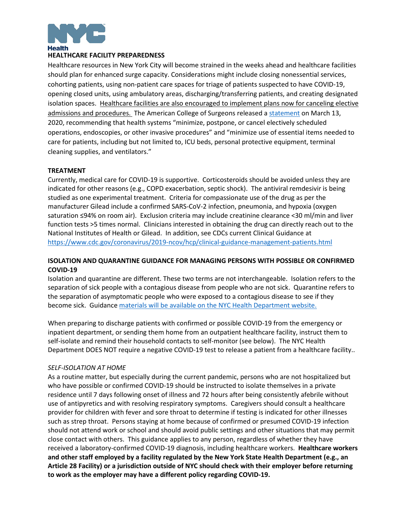

## **HEALTHCARE FACILITY PREPAREDNESS**

Healthcare resources in New York City will become strained in the weeks ahead and healthcare facilities should plan for enhanced surge capacity. Considerations might include closing nonessential services, cohorting patients, using non-patient care spaces for triage of patients suspected to have COVID-19, opening closed units, using ambulatory areas, discharging/transferring patients, and creating designated isolation spaces. Healthcare facilities are also encouraged to implement plans now for canceling elective admissions and procedures. The American College of Surgeons released a [statement](https://www.facs.org/about-acs/covid-19/information-for-surgeons) on March 13, 2020, recommending that health systems "minimize, postpone, or cancel electively scheduled operations, endoscopies, or other invasive procedures" and "minimize use of essential items needed to care for patients, including but not limited to, ICU beds, personal protective equipment, terminal cleaning supplies, and ventilators."

#### **TREATMENT**

Currently, medical care for COVID-19 is supportive. Corticosteroids should be avoided unless they are indicated for other reasons (e.g., COPD exacerbation, septic shock). The antiviral remdesivir is being studied as one experimental treatment. Criteria for compassionate use of the drug as per the manufacturer Gilead include a confirmed SARS-CoV-2 infection, pneumonia, and hypoxia (oxygen saturation ≤94% on room air). Exclusion criteria may include creatinine clearance <30 ml/min and liver function tests >5 times normal. Clinicians interested in obtaining the drug can directly reach out to the National Institutes of Health or Gilead. In addition, see CDCs current Clinical Guidance at <https://www.cdc.gov/coronavirus/2019-ncov/hcp/clinical-guidance-management-patients.html>

# **ISOLATION AND QUARANTINE GUIDANCE FOR MANAGING PERSONS WITH POSSIBLE OR CONFIRMED COVID-19**

Isolation and quarantine are different. These two terms are not interchangeable. Isolation refers to the separation of sick people with a contagious disease from people who are not sick. Quarantine refers to the separation of asymptomatic people who were exposed to a contagious disease to see if they become sick. Guidance materials will be available on the NYC Health Department website.

When preparing to discharge patients with confirmed or possible COVID-19 from the emergency or inpatient department, or sending them home from an outpatient healthcare facility, instruct them to self-isolate and remind their household contacts to self-monitor (see below). The NYC Health Department DOES NOT require a negative COVID-19 test to release a patient from a healthcare facility..

#### *SELF-ISOLATION AT HOME*

As a routine matter, but especially during the current pandemic, persons who are not hospitalized but who have possible or confirmed COVID-19 should be instructed to isolate themselves in a private residence until 7 days following onset of illness and 72 hours after being consistently afebrile without use of antipyretics and with resolving respiratory symptoms. Caregivers should consult a healthcare provider for children with fever and sore throat to determine if testing is indicated for other illnesses such as strep throat. Persons staying at home because of confirmed or presumed COVID-19 infection should not attend work or school and should avoid public settings and other situations that may permit close contact with others. This guidance applies to any person, regardless of whether they have received a laboratory-confirmed COVID-19 diagnosis, including healthcare workers. **Healthcare workers and other staff employed by a facility regulated by the New York State Health Department (e.g., an Article 28 Facility) or a jurisdiction outside of NYC should check with their employer before returning to work as the employer may have a different policy regarding COVID-19.**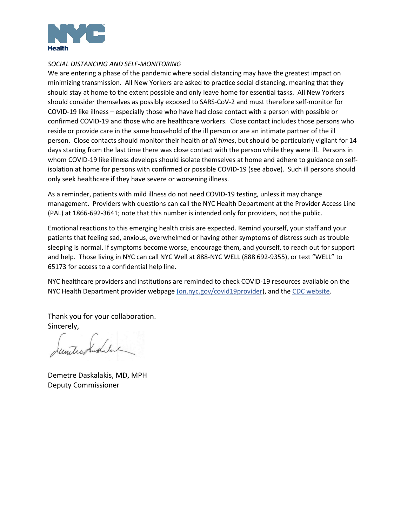

#### *SOCIAL DISTANCING AND SELF-MONITORING*

We are entering a phase of the pandemic where social distancing may have the greatest impact on minimizing transmission. All New Yorkers are asked to practice social distancing, meaning that they should stay at home to the extent possible and only leave home for essential tasks. All New Yorkers should consider themselves as possibly exposed to SARS-CoV-2 and must therefore self-monitor for COVID-19 like illness – especially those who have had close contact with a person with possible or confirmed COVID-19 and those who are healthcare workers. Close contact includes those persons who reside or provide care in the same household of the ill person or are an intimate partner of the ill person. Close contacts should monitor their health *at all times*, but should be particularly vigilant for 14 days starting from the last time there was close contact with the person while they were ill. Persons in whom COVID-19 like illness develops should isolate themselves at home and adhere to guidance on selfisolation at home for persons with confirmed or possible COVID-19 (see above). Such ill persons should only seek healthcare if they have severe or worsening illness.

As a reminder, patients with mild illness do not need COVID-19 testing, unless it may change management. Providers with questions can call the NYC Health Department at the Provider Access Line (PAL) at 1866-692-3641; note that this number is intended only for providers, not the public.

Emotional reactions to this emerging health crisis are expected. Remind yourself, your staff and your patients that feeling sad, anxious, overwhelmed or having other symptoms of distress such as trouble sleeping is normal. If symptoms become worse, encourage them, and yourself, to reach out for support and help. Those living in NYC can call NYC Well at 888-NYC WELL (888 692-9355), or text "WELL" to 65173 for access to a confidential help line.

NYC healthcare providers and institutions are reminded to check COVID-19 resources available on the NYC Health Department provider webpage [\(on.nyc.gov/covid19provider\)](https://www1.nyc.gov/site/doh/health/health-topics/coronavirus.page), and the [CDC website.](https://www.cdc.gov/coronavirus/2019-nCoV/index.html)

Thank you for your collaboration. Sincerely,

untro Andalac

Demetre Daskalakis, MD, MPH Deputy Commissioner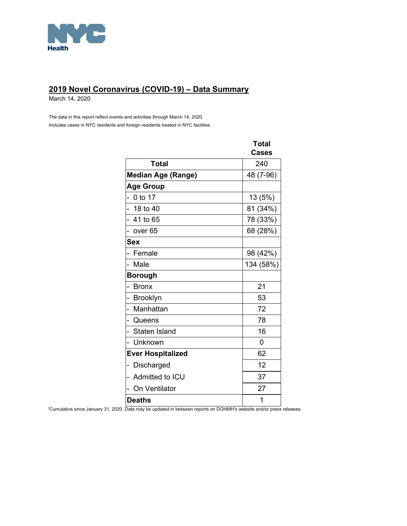

# **2019 Novel Coronavirus (COVID-19) – Data Summary**

March 14, 2020

The data in this report reflect events and activities through March 14, 2020. Includes cases in NYC residents and foreign residents treated in NYC facilities

|                                 | Total        |
|---------------------------------|--------------|
|                                 | <b>Cases</b> |
| Total                           | 240          |
| <b>Median Age (Range)</b>       | 48 (7-96)    |
| <b>Age Group</b>                |              |
| 0 to 17                         | 13 (5%)      |
| $-18$ to 40                     | 81 (34%)     |
| - 41 to 65                      | 78 (33%)     |
| over 65                         | 68 (28%)     |
| <b>Sex</b>                      |              |
| Female                          | 98 (42%)     |
| Male<br>÷,                      | 134 (58%)    |
| <b>Borough</b>                  |              |
| - Bronx                         | 21           |
| $\overline{a}$<br>Brooklyn      | 53           |
| Manhattan<br>$\overline{a}$     | 72           |
| - Queens                        | 78           |
| Staten Island<br>$\overline{a}$ | 16           |
| Unknown<br>$\overline{a}$       | 0            |
| <b>Ever Hospitalized</b>        | 62           |
| Discharged                      | 12           |
| Admitted to ICU                 | 37           |
| On Ventilator                   | 27           |
| <b>Deaths</b>                   | 1            |

1 Cumulative since January 31, 2020. Data may be updated in between reports on DOHMH's website and/or press releases.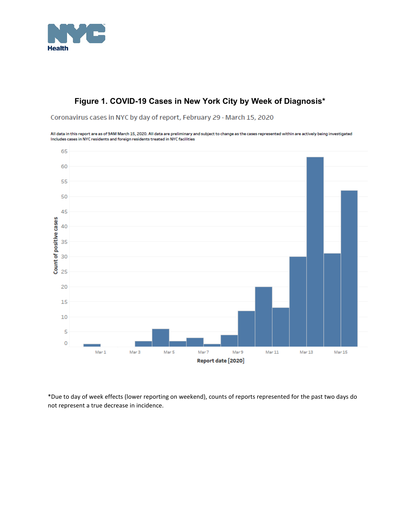

# **Figure 1. COVID-19 Cases in New York City by Week of Diagnosis\***

Coronavirus cases in NYC by day of report, February 29 - March 15, 2020

All data in this report are as of 9AM March 15, 2020. All data are preliminary and subject to change as the cases represented within are actively being investigated Includes cases in NYC residents and foreign residents treated in NYC facilities



\*Due to day of week effects (lower reporting on weekend), counts of reports represented for the past two days do not represent a true decrease in incidence.